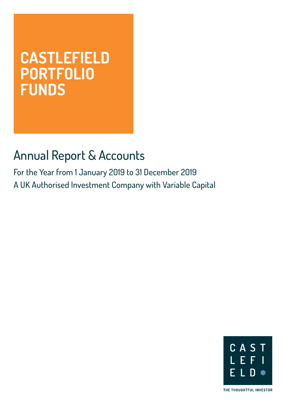# **CASTLEFIELD PORTFOLIO FUNDS**

# Annual Report & Accounts

For the Year from 1 January 2019 to 31 December 2019 A UK Authorised Investment Company with Variable Capital



THE THOUGHTFUL INVESTOR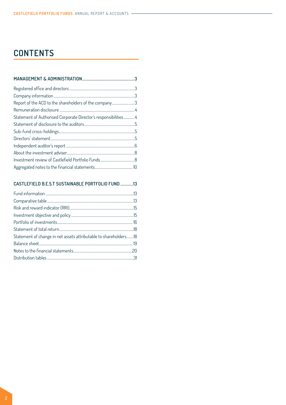# **CONTENTS**

| Report of the ACD to the shareholders of the company3           |  |
|-----------------------------------------------------------------|--|
|                                                                 |  |
| Statement of Authorised Corporate Director's responsibilities 4 |  |
|                                                                 |  |
|                                                                 |  |
|                                                                 |  |
|                                                                 |  |
|                                                                 |  |
|                                                                 |  |
|                                                                 |  |

# **[CASTLEFIELD B.E.S.T SUSTAINABLE PORTFOLIO FUND](#page-12-0) .............13**

| Statement of change in net assets attributable to shareholders18 |  |
|------------------------------------------------------------------|--|
|                                                                  |  |
|                                                                  |  |
|                                                                  |  |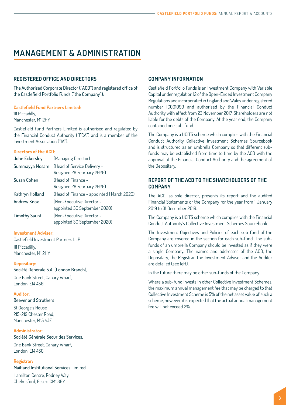# <span id="page-2-0"></span>**MANAGEMENT & ADMINISTRATION**

### **REGISTERED OFFICE AND DIRECTORS**

The Authorised Corporate Director ("ACD") and registered office of the Castlefield Portfolio Funds ("the Company"):

### **Castlefield Fund Partners Limited:**

111 Piccadilly, Manchester, M1 2HY

Castlefield Fund Partners Limited is authorised and regulated by the Financial Conduct Authority ("FCA") and is a member of the Investment Association ("IA").

### **Directors of the ACD:**

| John Eckersley       | (Managing Director)                        |
|----------------------|--------------------------------------------|
| Summayya Mosam       | <b>(Head of Service Delivery -</b>         |
|                      | Resigned 28 February 2020)                 |
| Susan Cohen          | (Head of Finance -                         |
|                      | Resigned 28 February 2020)                 |
| Kathryn Holland      | (Head of Finance - appointed 1 March 2020) |
| <b>Andrew Knox</b>   | (Non-Executive Director -                  |
|                      | appointed 30 September 2020)               |
| <b>Timothy Saunt</b> | (Non-Executive Director -                  |
|                      | appointed 30 September 2020)               |

### **Investment Adviser:**

Castlefield Investment Partners LLP 111 Piccadilly, Manchester, M1 2HY

**Depositary:** Société Générale S.A. (London Branch),

One Bank Street, Canary Wharf, London, E14 4SG

#### **Auditor:**

Beever and Struthers

St George's House 215-219 Chester Road, Manchester, M15 4JF

#### **Administrator:**

Société Générale Securities Services,

One Bank Street, Canary Wharf, London, E14 4SG

# **Registrar:**

Maitland Institutional Services Limited Hamilton Centre, Rodney Way, Chelmsford, Essex, CM1 3BY

### **COMPANY INFORMATION**

Castlefield Portfolio Funds is an Investment Company with Variable Capital under regulation 12 of the Open-Ended Investment Company Regulations and incorporated in England and Wales under registered number IC001099 and authorised by the Financial Conduct Authority with effect from 23 November 2017. Shareholders are not liable for the debts of the Company. At the year end, the Company contained one sub-fund.

The Company is a UCITS scheme which complies with the Financial Conduct Authority Collective Investment Schemes Sourcebook and is structured as an umbrella Company so that different subfunds may be established from time to time by the ACD with the approval of the Financial Conduct Authority and the agreement of the Depositary.

## **REPORT OF THE ACD TO THE SHAREHOLDERS OF THE COMPANY**

The ACD, as sole director, presents its report and the audited Financial Statements of the Company for the year from 1 January 2019 to 31 December 2019.

The Company is a UCITS scheme which complies with the Financial Conduct Authority's Collective Investment Schemes Sourcebook.

The Investment Objectives and Policies of each sub-fund of the Company are covered in the section for each sub-fund. The subfunds of an umbrella Company should be invested as if they were a single Company. The names and addresses of the ACD, the Depositary, the Registrar, the Investment Adviser and the Auditor are detailed (see left).

In the future there may be other sub-funds of the Company.

Where a sub-fund invests in other Collective Investment Schemes, the maximum annual management fee that may be charged to that Collective Investment Scheme is 5% of the net asset value of such a scheme, however, it is expected that the actual annual management fee will not exceed 2%.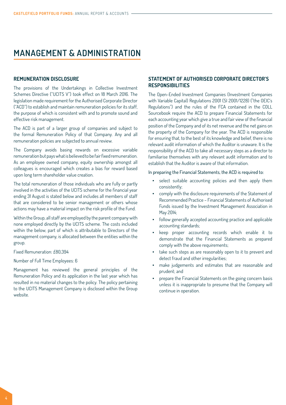# <span id="page-3-0"></span>**MANAGEMENT & ADMINISTRATION**

#### **REMUNERATION DISCLOSURE**

The provisions of the Undertakings in Collective Investment Schemes Directive ("UCITS V") took effect on 18 March 2016. The legislation made requirement for the Authorised Corporate Director ("ACD") to establish and maintain remuneration policies for its staff, the purpose of which is consistent with and to promote sound and effective risk management.

The ACD is part of a larger group of companies and subject to the formal Remuneration Policy of that Company. Any and all remuneration policies are subjected to annual review.

The Company avoids basing rewards on excessive variable remuneration but pays what is believed to be fair fixed remuneration. As an employee owned company, equity ownership amongst all colleagues is encouraged which creates a bias for reward based upon long term shareholder value creation.

The total remuneration of those individuals who are fully or partly involved in the activities of the UCITS scheme for the financial year ending 31 August is stated below and includes all members of staff that are considered to be senior management or others whose actions may have a material impact on the risk profile of the Fund.

Within the Group, all staff are employed by the parent company with none employed directly by the UCITS scheme. The costs included within the below, part of which is attributable to Directors of the management company, is allocated between the entities within the group.

Fixed Remuneration: £80,394

Number of Full Time Employees: 6

Management has reviewed the general principles of the Remuneration Policy and its application in the last year which has resulted in no material changes to the policy. The policy pertaining to the UCITS Management Company is disclosed within the Group website.

# **STATEMENT OF AUTHORISED CORPORATE DIRECTOR'S RESPONSIBILITIES**

The Open-Ended Investment Companies (Investment Companies with Variable Capital) Regulations 2001 (SI 2001/1228) ("the OEIC's Regulations") and the rules of the FCA contained in the COLL Sourcebook require the ACD to prepare Financial Statements for each accounting year which give a true and fair view of the financial position of the Company and of its net revenue and the net gains on the property of the Company for the year. The ACD is responsible for ensuring that, to the best of its knowledge and belief, there is no relevant audit information of which the Auditor is unaware. It is the responsibility of the ACD to take all necessary steps as a director to familiarise themselves with any relevant audit information and to establish that the Auditor is aware of that information.

In preparing the Financial Statements, the ACD is required to:

- select suitable accounting policies and then apply them consistently;
- comply with the disclosure requirements of the Statement of Recommended Practice – Financial Statements of Authorised Funds issued by the Investment Management Association in May 2014;
- follow generally accepted accounting practice and applicable accounting standards;
- keep proper accounting records which enable it to demonstrate that the Financial Statements as prepared comply with the above requirements;
- take such steps as are reasonably open to it to prevent and detect fraud and other irregularities;
- make judgements and estimates that are reasonable and prudent; and
- prepare the Financial Statements on the going concern basis unless it is inappropriate to presume that the Company will continue in operation.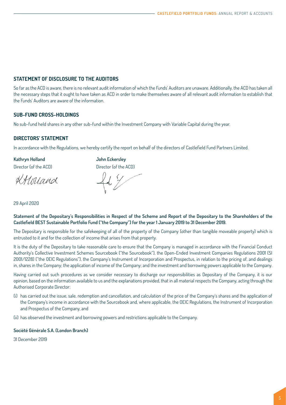# <span id="page-4-0"></span>**STATEMENT OF DISCLOSURE TO THE AUDITORS**

So far as the ACD is aware, there is no relevant audit information of which the Funds' Auditors are unaware. Additionally, the ACD has taken all the necessary steps that it ought to have taken as ACD in order to make themselves aware of all relevant audit information to establish that the Funds' Auditors are aware of the information.

# **SUB-FUND CROSS-HOLDINGS**

No sub-fund held shares in any other sub-fund within the Investment Company with Variable Capital during the year.

# **DIRECTORS' STATEMENT**

In accordance with the Regulations, we hereby certify the report on behalf of the directors of Castlefield Fund Partners Limited.

**Kathryn Holland John Eckersley**

KALoriand

Director (of the ACD) Director (of the ACD)

29 April 2020

**Statement of the Depositary's Responsibilities in Respect of the Scheme and Report of the Depositary to the Shareholders of the Castlefield BEST Sustainable Portfolio Fund ("the Company") for the year 1 January 2019 to 31 December 2019.**

The Depositary is responsible for the safekeeping of all of the property of the Company (other than tangible moveable property) which is entrusted to it and for the collection of income that arises from that property.

It is the duty of the Depositary to take reasonable care to ensure that the Company is managed in accordance with the Financial Conduct Authority's Collective Investment Schemes Sourcebook ("the Sourcebook"), the Open-Ended Investment Companies Regulations 2001 (SI 2001/1228) ("the OEIC Regulations"), the Company's Instrument of Incorporation and Prospectus, in relation to the pricing of, and dealings in, shares in the Company; the application of income of the Company; and the investment and borrowing powers applicable to the Company.

Having carried out such procedures as we consider necessary to discharge our responsibilities as Depositary of the Company, it is our opinion, based on the information available to us and the explanations provided, that in all material respects the Company, acting through the Authorised Corporate Director:

(i) has carried out the issue, sale, redemption and cancellation, and calculation of the price of the Company's shares and the application of the Company's income in accordance with the Sourcebook and, where applicable, the OEIC Regulations, the Instrument of Incorporation and Prospectus of the Company, and

(ii) has observed the investment and borrowing powers and restrictions applicable to the Company.

### **Société Générale S.A. (London Branch)**

31 December 2019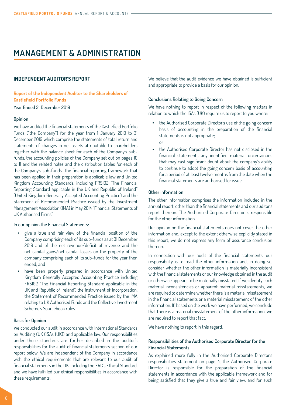# <span id="page-5-0"></span>**MANAGEMENT & ADMINISTRATION**

#### **INDEPENDENT AUDITOR'S REPORT**

**Report of the Independent Auditor to the Shareholders of Castlefield Portfolio Funds** Year Ended 31 December 2019

#### **Opinion**

We have audited the financial statements of the Castlefield Portfolio Funds ("the Company") for the year from 1 January 2019 to 31 December 2019 which comprise the statements of total return and statements of changes in net assets attributable to shareholders together with the balance sheet for each of the Company's subfunds, the accounting policies of the Company set out on [pages](#page-8-0) 10 to [1](#page-11-0)1 and the related notes and the distribution tables for each of the Company's sub-funds. The financial reporting framework that has been applied in their preparation is applicable law and United Kingdom Accounting Standards, including FRS102 "The Financial Reporting Standard applicable in the UK and Republic of Ireland" (United Kingdom Generally Accepted Accounting Practice) and the Statement of Recommended Practice issued by the Investment Management Association (IMA) in May 2014 "Financial Statements of UK Authorised Firms".

In our opinion the Financial Statements:

- give a true and fair view of the financial position of the Company comprising each of its sub-funds as at 31 December 2019 and of the net revenue/deficit of revenue and the net capital gains/net capital losses on the property of the company comprising each of its sub-funds for the year then ended; and
- have been properly prepared in accordance with United Kingdom Generally Accepted Accounting Practice including FRS102 "The Financial Reporting Standard applicable in the UK and Republic of Ireland", the Instrument of Incorporation, the Statement of Recommended Practice issued by the IMA relating to UK Authorised Funds and the Collective Investment Scheme's Sourcebook rules.

### **Basis for Opinion**

We conducted our audit in accordance with International Standards on Auditing (UK (ISAs (UK)) and applicable law. Our responsibilities under those standards are further described in the auditor's responsibilities for the audit of financial statements section of our report below. We are independent of the Company in accordance with the ethical requirements that are relevant to our audit of financial statements in the UK, including the FRC's Ethical Standard, and we have fulfilled our ethical responsibilities in accordance with these requirements.

We believe that the audit evidence we have obtained is sufficient and appropriate to provide a basis for our opinion.

#### **Conclusions Relating to Going Concern**

We have nothing to report in respect of the following matters in relation to which the ISAs (UK) require us to report to you where:

- the Authorised Corporate Director's use of the going concern basis of accounting in the preparation of the financial statements is not appropriate; or
- the Authorised Corporate Director has not disclosed in the financial statements any identified material uncertainties that may cast significant doubt about the company's ability to continue to adopt the going concern basis of accounting for a period of at least twelve months from the date when the financial statements are authorised for issue.

#### **Other information**

The other information comprises the information included in the annual report, other than the financial statements and our auditor's report thereon. The Authorised Corporate Director is responsible for the other information.

Our opinion on the financial statements does not cover the other information and, except to the extent otherwise explicitly stated in this report, we do not express any form of assurance conclusion thereon.

In connection with our audit of the financial statements, our responsibility is to read the other information and, in doing so, consider whether the other information is materially inconsistent with the financial statements or our knowledge obtained in the audit or otherwise appears to be materially misstated. If we identify such material inconsistencies or apparent material misstatements, we are required to determine whether there is a material misstatement in the financial statements or a material misstatement of the other information. If, based on the work we have performed, we conclude that there is a material misstatement of the other information, we are required to report that fact.

We have nothing to report in this regard.

# **Responsibilities of the Authorised Corporate Director for the Financial Statements**

As explained more fully in the Authorised Corporate Director's responsibilities statement on [page 4,](#page-3-0) the Authorised Corporate Director is responsible for the preparation of the financial statements in accordance with the applicable framework and for being satisfied that they give a true and fair view, and for such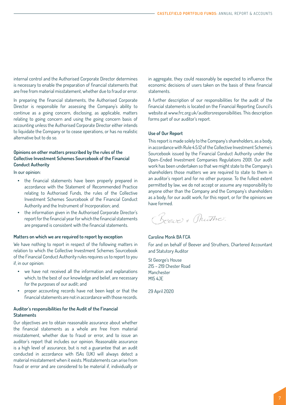internal control and the Authorised Corporate Director determines is necessary to enable the preparation of financial statements that are free from material misstatement, whether due to fraud or error.

In preparing the financial statements, the Authorised Corporate Director is responsible for assessing the Company's ability to continue as a going concern, disclosing, as applicable, matters relating to going concern and using the going concern basis of accounting unless the Authorised Corporate Director either intends to liquidate the Company or to cease operations, or has no realistic alternative but to do so.

### **Opinions on other matters prescribed by the rules of the Collective Investment Schemes Sourcebook of the Financial Conduct Authority**

In our opinion:

- the financial statements have been properly prepared in accordance with the Statement of Recommended Practice relating to Authorised Funds, the rules of the Collective Investment Schemes Sourcebook of the Financial Conduct Authority and the Instrument of Incorporation; and.
- the information given in the Authorised Corporate Director's report for the financial year for which the financial statements are prepared is consistent with the financial statements.

#### **Matters on which we are required to report by exception**

We have nothing to report in respect of the following matters in relation to which the Collective Investment Schemes Sourcebook of the Financial Conduct Authority rules requires us to report to you if, in our opinion:

- we have not received all the information and explanations which, to the best of our knowledge and belief, are necessary for the purposes of our audit; and
- proper accounting records have not been kept or that the financial statements are not in accordance with those records.

# **Auditor's responsibilities for the Audit of the Financial Statements**

Our objectives are to obtain reasonable assurance about whether the financial statements as a whole are free from material misstatement, whether due to fraud or error, and to issue an auditor's report that includes our opinion. Reasonable assurance is a high level of assurance, but is not a guarantee that an audit conducted in accordance with ISAs (UK) will always detect a material misstatement when it exists. Misstatements can arise from fraud or error and are considered to be material if, individually or

in aggregate, they could reasonably be expected to influence the economic decisions of users taken on the basis of these financial statements.

A further description of our responsibilities for the audit of the financial statements is located on the Financial Reporting Council's website at [www.frc.org.uk/auditorsresponsibilities.](www.frc.org.uk/auditorsresponsibilities) This description forms part of our auditor's report.

#### **Use of Our Report**

This report is made solely to the Company's shareholders, as a body, in accordance with Rule 4.5.12 of the Collective Investment Scheme's Sourcebook issued by the Financial Conduct Authority under the Open-Ended Investment Companies Regulations 2001. Our audit work has been undertaken so that we might state to the Company's shareholders those matters we are required to state to them in an auditor's report and for no other purpose. To the fullest extent permitted by law, we do not accept or assume any responsibility to anyone other than the Company and the Company's shareholders as a body, for our audit work, for this report, or for the opinions we have formed.

(Beever Muther

#### Caroline Monk BA FCA

For and on behalf of Beever and Struthers, Chartered Accountant and Statutory Auditor

St George's House 215 – 219 Chester Road Manchester M15 4JE

29 April 2020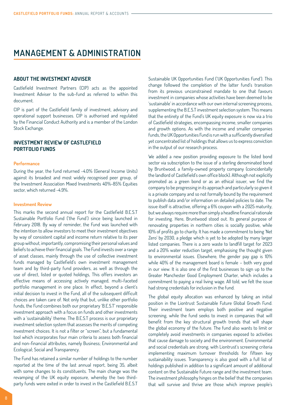# <span id="page-7-0"></span>**MANAGEMENT & ADMINISTRATION**

#### **ABOUT THE INVESTMENT ADVISER**

Castlefield Investment Partners (CIP) acts as the appointed Investment Adviser to the sub-fund as referred to within this document.

CIP is part of the Castlefield family of investment, advisory and operational support businesses. CIP is authorised and regulated by the Financial Conduct Authority and is a member of the London Stock Exchange.

# **INVESTMENT REVIEW OF CASTLEFIELD PORTFOLIO FUNDS**

#### **Performance**

During the year, the fund returned -4.0% (General Income Units) against its broadest and most widely recognised peer group, of the Investment Association Mixed Investments 40%-85% Equities sector, which returned -4.9%.

#### **Investment Review**

This marks the second annual report for the Castlefield B.E.S.T Sustainable Portfolio Fund ('the Fund') since being launched in February 2018. By way of reminder, the Fund was launched with the intention to allow investors to meet their investment objectives by way of consistent capital and income return relative to its peer group without, importantly, compromising their personal values and beliefs to achieve their financial goals. The Fund invests over a range of asset classes, mainly through the use of collective investment funds managed by Castlefield's own investment management team and by third-party fund providers, as well as through the use of direct, listed or quoted holdings, This offers investors an effective means of accessing actively managed, multi-faceted portfolio management in one place. In effect, beyond a client's initial decision to invest in the Fund, all of the subsequent difficult choices are taken care of. Not only that but, unlike other portfolio funds, the Fund combines both our proprietary 'B.E.S.T' responsible investment approach with a focus on funds and other investments with a 'sustainability' theme. The B.E.S.T process is our proprietary investment selection system that assesses the merits of competing investment choices. It is not a filter or "screen", but a fundamental tool which incorporates four main criteria to assess both financial and non-financial attributes, namely Business; Environmental and Ecological; Social and Transparency.

The Fund has retained a similar number of holdings to the number reported at the time of the last annual report, being 35, albeit with some changes to its constituents. The main change was the revamping of the UK equity exposure, whereby the two thirdparty funds were exited in order to invest in the Castlefield B.E.S.T

Sustainable UK Opportunities Fund ('UK Opportunities Fund'). This change followed the completion of the latter fund's transition from its previous unconstrained mandate to one that favours investment in companies whose activities have been deemed to be 'sustainable' in accordance with our own internal screening process, supplementing the B.E.S.T investment selection system. This means that the entirety of the Fund's UK equity exposure is now via a trio of Castlefield strategies, encompassing income, smaller companies and growth options. As with the income and smaller companies funds, the UK Opportunities Fund is run with a sufficiently diversified yet concentrated list of holdings that allows us to express conviction in the output of our research process.

We added a new position providing exposure to the listed bond sector via subscription to the issue of a sterling denominated bond by Bruntwood, a family-owned property company (coincidentally the landlord of Castlefield's own office block). Although not explicitly promoted as a green bond or as an ethical issuer, we find the company to be progressing in its approach and particularly so given it is a private company and so not formally bound by the requirement to publish data and/or information on detailed policies to date. The issue itself is attractive, offering a 6% coupon with a 2025 maturity, but we always require more than simply a headline financial rationale for investing. Here, Bruntwood stood out. Its general purpose of renovating properties in northern cities is socially positive, while 10% of profits go to charity. It has made a commitment to being 'Net Zero' by 2030, a pledge which is yet to be adopted by many larger listed companies. There is a zero waste to landfill target for 2023 and a 20% water reduction target, emphasising the thought given to environmental issues. Elsewhere, the gender pay gap is 10% while 40% of the management board is female – both very good in our view. It is also one of the first businesses to sign up to the Greater Manchester Good Employment Charter, which includes a commitment to paying a real living wage. All told, we felt the issue had strong credentials for inclusion in the fund.

The global equity allocation was enhanced by taking an initial position in the Liontrust Sustainable Future Global Growth Fund. Their investment team employs both positive and negative screening, while the fund seeks to invest in companies that will benefit from the key structural growth trends that will shape the global economy of the future. The fund also wants to limit or completely avoid investments in companies exposed to activities that cause damage to society and the environment. Environmental and social credentials are strong, with Liontrust's screening criteria implementing maximum turnover thresholds for fifteen key sustainability issues. Transparency is also good with a full list of holdings published in addition to a significant amount of additional content on the Sustainable Future range and the investment team. The investment philosophy hinges on the belief that the companies that will survive and thrive are those which improve people's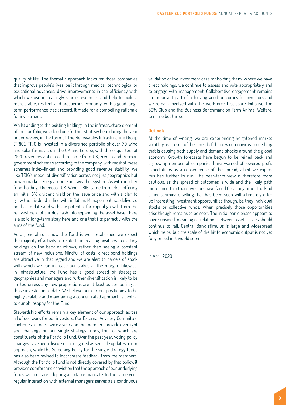<span id="page-8-0"></span>quality of life. The thematic approach looks for those companies that improve people's lives, be it through medical, technological or educational advances; drive improvements in the efficiency with which we use increasingly scarce resources; and help to build a more stable, resilient and prosperous economy. With a good longterm performance track record, it made for a compelling rationale for investment.

Whilst adding to the existing holdings in the infrastructure element of the portfolio, we added one further strategy here during the year under review, in the form of The Renewables Infrastructure Group (TRIG). TRIG is invested in a diversified portfolio of over 70 wind and solar farms across the UK and Europe, with three-quarters of 2020 revenues anticipated to come from UK, French and German government schemes according to the company, with most of these schemes index-linked and providing good revenue stability. We like TRIG's model of diversification across not just geographies but power market, energy source and weather system. As with another fund holding, Greencoat UK Wind, TRIG came to market offering an initial 6% dividend yield on the issue price and with a plan to grow the dividend in line with inflation. Management has delivered on that to date and with the potential for capital growth from the reinvestment of surplus cash into expanding the asset base, there is a solid long-term story here and one that fits perfectly with the aims of the fund.

As a general rule, now the Fund is well-established we expect the majority of activity to relate to increasing positions in existing holdings on the back of inflows, rather than seeing a constant stream of new inclusions. Mindful of costs, direct bond holdings are attractive in that regard and we are alert to parcels of stock with which we can increase our stakes at the margin. Likewise, in infrastructure, the Fund has a good spread of strategies, geographies and managers and further diversification is likely to be limited unless any new propositions are at least as compelling as those invested in to date. We believe our current positioning to be highly scalable and maintaining a concentrated approach is central to our philosophy for the Fund.

Stewardship efforts remain a key element of our approach across all of our work for our investors. Our External Advisory Committee continues to meet twice a year and the members provide oversight and challenge on our single strategy funds, four of which are constituents of the Portfolio Fund. Over the past year, voting policy changes have been discussed and agreed as sensible updates to our approach, while the Screening Policy for the single strategy funds has also been revised to incorporate feedback from the members. Although the Portfolio Fund is not directly covered by that policy, it provides comfort and conviction that the approach of our underlying funds within it are adopting a suitable mandate. In the same vein, regular interaction with external managers serves as a continuous validation of the investment case for holding them. Where we have direct holdings, we continue to assess and vote appropriately and to engage with management. Collaborative engagement remains an important part of achieving good outcomes for investors and we remain involved with the Workforce Disclosure Initiative, the 30% Club and the Business Benchmark on Farm Animal Welfare, to name but three.

#### **Outlook**

At the time of writing, we are experiencing heightened market volatility as a result of the spread of the new coronavirus, something that is causing both supply and demand shocks around the global economy. Growth forecasts have begun to be reined back and a growing number of companies have warned of lowered profit expectations as a consequence of the spread, albeit we expect this has further to run. The near-term view is therefore more cautious, as the spread of outcomes is wide and the likely path more uncertain than investors have faced for a long time. The kind of indiscriminate selling that has been seen will ultimately offer up interesting investment opportunities though, be they individual stocks or collective funds. When precisely those opportunities arise though remains to be seen. The initial panic phase appears to have subsided, meaning correlations between asset classes should continue to fall. Central Bank stimulus is large and widespread which helps, but the scale of the hit to economic output is not yet fully priced in it would seem.

14 April 2020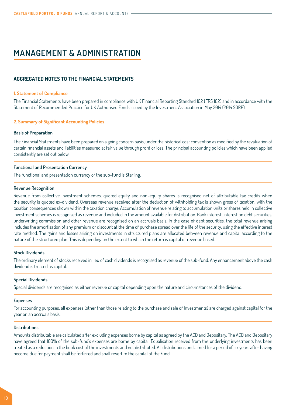# <span id="page-9-0"></span>**MANAGEMENT & ADMINISTRATION**

### **AGGREGATED NOTES TO THE FINANCIAL STATEMENTS**

#### **1. Statement of Compliance**

The Financial Statements have been prepared in compliance with UK Financial Reporting Standard 102 (FRS 102) and in accordance with the Statement of Recommended Practice for UK Authorised Funds issued by the Investment Association in May 2014 (2014 SORP).

#### **2. Summary of Significant Accounting Policies**

#### **Basis of Preparation**

The Financial Statements have been prepared on a going concern basis, under the historical cost convention as modified by the revaluation of certain financial assets and liabilities measured at fair value through profit or loss. The principal accounting policies which have been applied consistently are set out below.

#### **Functional and Presentation Currency**

The functional and presentation currency of the sub-fund is Sterling.

#### **Revenue Recognition**

Revenue from collective investment schemes, quoted equity and non-equity shares is recognised net of attributable tax credits when the security is quoted ex-dividend. Overseas revenue received after the deduction of withholding tax is shown gross of taxation, with the taxation consequences shown within the taxation charge. Accumulation of revenue relating to accumulation units or shares held in collective investment schemes is recognised as revenue and included in the amount available for distribution. Bank interest, interest on debt securities, underwriting commission and other revenue are recognised on an accruals basis. In the case of debt securities, the total revenue arising includes the amortisation of any premium or discount at the time of purchase spread over the life of the security, using the effective interest rate method. The gains and losses arising on investments in structured plans are allocated between revenue and capital according to the nature of the structured plan. This is depending on the extent to which the return is capital or revenue based.

#### **Stock Dividends**

The ordinary element of stocks received in lieu of cash dividends is recognised as revenue of the sub-fund. Any enhancement above the cash dividend is treated as capital.

#### **Special Dividends**

Special dividends are recognised as either revenue or capital depending upon the nature and circumstances of the dividend.

#### **Expenses**

For accounting purposes, all expenses (other than those relating to the purchase and sale of Investments) are charged against capital for the year on an accruals basis.

#### **Distributions**

Amounts distributable are calculated after excluding expenses borne by capital as agreed by the ACD and Depositary. The ACD and Depositary have agreed that 100% of the sub-fund's expenses are borne by capital. Equalisation received from the underlying investments has been treated as a reduction in the book cost of the investments and not distributed. All distributions unclaimed for a period of six years after having become due for payment shall be forfeited and shall revert to the capital of the Fund.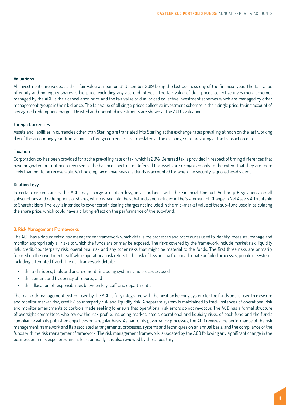#### **Valuations**

All investments are valued at their fair value at noon on 31 December 2019 being the last business day of the financial year. The fair value of equity and nonequity shares is bid price, excluding any accrued interest. The fair value of dual priced collective investment schemes managed by the ACD is their cancellation price and the fair value of dual priced collective investment schemes which are managed by other management groups is their bid price. The fair value of all single priced collective investment schemes is their single price, taking account of any agreed redemption charges. Delisted and unquoted investments are shown at the ACD's valuation.

#### **Foreign Currencies**

Assets and liabilities in currencies other than Sterling are translated into Sterling at the exchange rates prevailing at noon on the last working day of the accounting year. Transactions in foreign currencies are translated at the exchange rate prevailing at the transaction date.

#### **Taxation**

Corporation tax has been provided for at the prevailing rate of tax, which is 20%. Deferred tax is provided in respect of timing differences that have originated but not been reversed at the balance sheet date. Deferred tax assets are recognised only to the extent that they are more likely than not to be recoverable. Withholding tax on overseas dividends is accounted for when the security is quoted ex-dividend.

#### **Dilution Levy**

In certain circumstances the ACD may charge a dilution levy, in accordance with the Financial Conduct Authority Regulations, on all subscriptions and redemptions of shares, which is paid into the sub-funds and included in the Statement of Change in Net Assets Attributable to Shareholders. The levy is intended to cover certain dealing charges not included in the mid-market value of the sub-fund used in calculating the share price, which could have a diluting effect on the performance of the sub-fund.

#### **3. Risk Management Frameworks**

The ACD has a documented risk management framework which details the processes and procedures used to identify, measure, manage and monitor appropriately all risks to which the funds are or may be exposed. The risks covered by the framework include market risk, liquidity risk, credit/counterparty risk, operational risk and any other risks that might be material to the funds. The first three risks are primarily focused on the investment itself while operational risk refers to the risk of loss arising from inadequate or failed processes, people or systems including attempted fraud. The risk framework details:

- the techniques, tools and arrangements including systems and processes used;
- the content and frequency of reports; and
- the allocation of responsibilities between key staff and departments.

The main risk management system used by the ACD is fully integrated with the position keeping system for the funds and is used to measure and monitor market risk, credit / counterparty risk and liquidity risk. A separate system is maintained to track instances of operational risk and monitor amendments to controls made seeking to ensure that operational risk errors do not re-occur. The ACD has a formal structure of oversight committees who review the risk profile, including market, credit, operational and liquidity risks, of each fund and the fund's compliance with its published objectives on a regular basis. As part of its governance processes, the ACD reviews the performance of the risk management framework and its associated arrangements, processes, systems and techniques on an annual basis, and the compliance of the funds with the risk management framework. The risk management framework is updated by the ACD following any significant change in the business or in risk exposures and at least annually. It is also reviewed by the Depositary.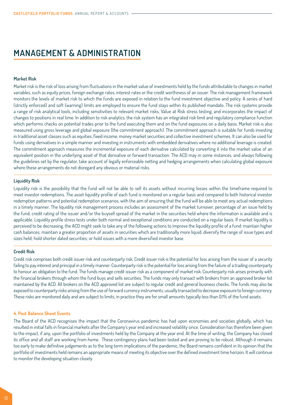# <span id="page-11-0"></span>**MANAGEMENT & ADMINISTRATION**

#### **Market Risk**

Market risk is the risk of loss arising from fluctuations in the market value of investments held by the funds attributable to changes in market variables, such as equity prices, foreign exchange rates, interest rates or the credit worthiness of an issuer. The risk management framework monitors the levels of market risk to which the funds are exposed in relation to the fund investment objective and policy. A series of hard (strictly enforced) and soft (warning) limits are employed to ensure the fund stays within its published mandate. The risk systems provide a range of risk analytical tools, including sensitivities to relevant market risks, Value at Risk stress testing, and incorporates the impact of changes to positions in real time. In addition to risk analytics, the risk system has an integrated risk limit and regulatory compliance function which performs checks on potential trades prior to the fund executing them and on the fund exposures on a daily basis. Market risk is also measured using gross leverage and global exposure (the commitment approach). The commitment approach is suitable for funds investing in traditional asset classes such as equities, fixed income, money market securities and collective investment schemes. It can also be used for funds using derivatives in a simple manner and investing in instruments with embedded derivatives where no additional leverage is created. The commitment approach measures the incremental exposure of each derivative calculated by converting it into the market value of an equivalent position in the underlying asset of that derivative or forward transaction. The ACD may in some instances, and always following the guidelines set by the regulator, take account of legally enforceable netting and hedging arrangements when calculating global exposure where these arrangements do not disregard any obvious or material risks.

#### **Liquidity Risk**

Liquidity risk is the possibility that the fund will not be able to sell its assets without incurring losses within the timeframe required to meet investor redemptions. The asset liquidity profile of each fund is monitored on a regular basis and compared to both historical investor redemption patterns and potential redemption scenarios, with the aim of ensuring that the fund will be able to meet any actual redemptions in a timely manner. The liquidity risk management process includes an assessment of the market turnover, percentage of an issue held by the fund, credit rating of the issuer and/or the buysell spread of the market in the securities held where the information is available and is applicable. Liquidity profile stress tests under both normal and exceptional conditions are conducted on a regular basis. If market liquidity is perceived to be decreasing, the ACD might seek to take any of the following actions to improve the liquidity profile of a fund: maintain higher cash balances; maintain a greater proportion of assets in securities which are traditionally more liquid; diversify the range of issue types and sizes held; hold shorter dated securities; or hold issues with a more diversified investor base.

#### **Credit Risk**

Credit risk comprises both credit issuer risk and counterparty risk. Credit issuer risk is the potential for loss arising from the issuer of a security failing to pay interest and principal in a timely manner. Counterparty risk is the potential for loss arising from the failure of a trading counterparty to honour an obligation to the fund. The funds manage credit issuer risk as a component of market risk. Counterparty risk arises primarily with the financial brokers through whom the fund buys and sells securities. The funds may only transact with brokers from an approved broker list maintained by the ACD. All brokers on the ACD approved list are subject to regular credit and general business checks. The funds may also be exposed to counterparty risks arising from the use of forward currency instruments, usually transacted to decrease exposure to foreign currency. These risks are monitored daily and are subject to limits, in practice they are for small amounts typically less than 0.1% of the fund assets.

#### **4. Post Balance Sheet Events**

The Board of the ACD recognises the impact that the Coronavirus pandemic has had upon economies and societies globally, which has resulted in initial falls in financial markets after the Company's year end and increased volatility since. Consideration has therefore been given to the impact, if any, upon the portfolio of investments held by the Company at the year end. At the time of writing, the Company has closed its office and all staff are working from home. These contingency plans had been tested and are proving to be robust. Although it remains too early to make definitive judgements as to the long term implications of the pandemic, the Board remains confident in its opinion that the portfolio of investments held remains an appropriate means of meeting its objective over the defined investment time horizon. It will continue to monitor the developing situation closely.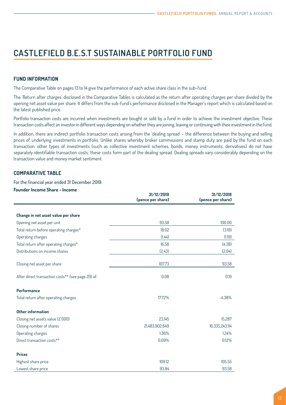# <span id="page-12-0"></span>**FUND INFORMATION**

The Comparative Table on [pages 13 to 14](#page-13-0) give the performance of each active share class in the sub-fund.

The 'Return after charges' disclosed in the Comparative Tables is calculated as the return after operating charges per share divided by the opening net asset value per share. It differs from the sub-fund's performance disclosed in the Manager's report which is calculated based on the latest published price.

Portfolio transaction costs are incurred when investments are bought or sold by a fund in order to achieve the investment objective. These transaction costs affect an investor in different ways depending on whether they are joining, leaving or continuing with their investment in the fund.

In addition, there are indirect portfolio transaction costs arising from the 'dealing spread' – the difference between the buying and selling prices of underlying investments in portfolio. Unlike shares whereby broker commissions and stamp duty are paid by the fund on each transaction, other types of investments (such as collective investment schemes, bonds, money instruments, derivatives) do not have separately identifiable transaction costs; these costs form part of the dealing spread. Dealing spreads vary considerably depending on the transaction value and money market sentiment.

# **COMPARATIVE TABLE**

#### For the financial year ended 31 December 2019:

#### **Founder Income Share - Income**

|                                                    | 31/12/2019<br>(pence per share) | 31/12/2018<br>(pence per share) |
|----------------------------------------------------|---------------------------------|---------------------------------|
|                                                    |                                 |                                 |
| Change in net asset value per share                |                                 |                                 |
| Opening net asset per unit                         | 93.58                           | 100.00                          |
| Total return before operating charges*             | 18.02                           | (3.19)                          |
| Operating charges                                  | (1.44)                          | (1.19)                          |
| Total return after operating charges*              | 16.58                           | (4.38)                          |
| Distributions on income shares                     | (2.43)                          | (2.04)                          |
| Closing net asset per share                        | 107.73                          | 93.58                           |
| After direct transaction costs** (see page 29) of: | 0.08                            | 0.19                            |
| Performance                                        |                                 |                                 |
| Total return after operating charges               | 17.72%                          | $-4.38%$                        |
| Other information                                  |                                 |                                 |
| Closing net assets value (£'000)                   | 23,145                          | 15,287                          |
| Closing number of shares                           | 21,483,902.649                  | 16,335,243.114                  |
| Operating charges                                  | 1.36%                           | 1.24%                           |
| Direct transaction costs**                         | 0.09%                           | 0.12%                           |
| <b>Prices</b>                                      |                                 |                                 |
| Highest share price                                | 109.12                          | 105.55                          |
| Lowest share price                                 | 93.84                           | 93.58                           |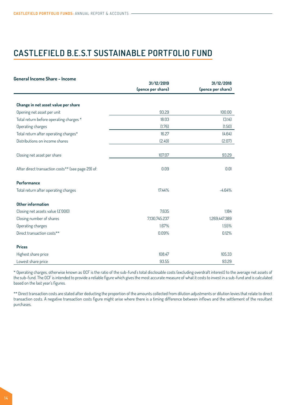<span id="page-13-0"></span>

| General Income Share - Income                      | 31/12/2019        | 31/12/2018        |
|----------------------------------------------------|-------------------|-------------------|
|                                                    | (pence per share) | (pence per share) |
|                                                    |                   |                   |
| Change in net asset value per share                |                   |                   |
| Opening net asset per unit                         | 93.29             | 100.00            |
| Total return before operating charges *            | 18.03             | (3.14)            |
| Operating charges                                  | (1.76)            | (1.50)            |
| Total return after operating charges*              | 16.27             | (4.64)            |
| Distributions on income shares                     | (2.49)            | (2.07)            |
| Closing net asset per share                        | 107.07            | 93.29             |
| After direct transaction costs** (see page 29) of: | 0.09              | 0.01              |
| Performance                                        |                   |                   |
| Total return after operating charges               | 17.44%            | $-4.64%$          |
| Other information                                  |                   |                   |
| Closing net assets value (£'000)                   | 7,635             | 1,184             |
| Closing number of shares                           | 7,130,745.237     | 1,269,447.389     |
| Operating charges                                  | 1.67%             | 1.55%             |
| Direct transaction costs**                         | 0.09%             | 0.12%             |
| <b>Prices</b>                                      |                   |                   |
| Highest share price                                | 108.47            | 105.33            |
| Lowest share price                                 | 93.55             | 93.29             |

\* Operating charges, otherwise known as OCF is the ratio of the sub-fund's total disclosable costs (excluding overdraft interest) to the average net assets of the sub-fund. The OCF is intended to provide a reliable figure which gives the most accurate measure of what it costs to invest in a sub-fund and is calculated based on the last year's figures.

\*\* Direct transaction costs are stated after deducting the proportion of the amounts collected from dilution adjustments or dilution levies that relate to direct transaction costs. A negative transaction costs figure might arise where there is a timing difference between inflows and the settlement of the resultant purchases.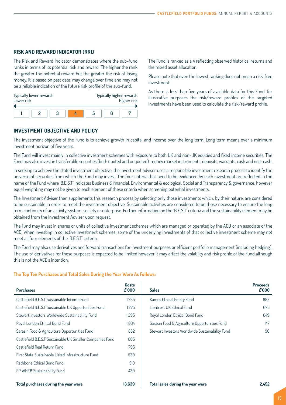# <span id="page-14-0"></span>**RISK AND REWARD INDICATOR (RRI)**

The Risk and Reward Indicator demonstrates where the sub-fund ranks in terms of its potential risk and reward. The higher the rank the greater the potential reward but the greater the risk of losing money. It is based on past data, may change over time and may not be a reliable indication of the future risk profile of the sub-fund.

| Lower risk | Typically lower rewards |  |  | Typically higher rewards<br>Higher risk |  |
|------------|-------------------------|--|--|-----------------------------------------|--|
|            |                         |  |  |                                         |  |
|            |                         |  |  |                                         |  |

The Fund is ranked as a 4 reflecting observed historical returns and the mixed asset allocation.

Please note that even the lowest ranking does not mean a risk-free investment.

As there is less than five years of available data for this Fund, for illustrative purposes the risk/reward profiles of the targeted investments have been used to calculate the risk/reward profile.

# **INVESTMENT OBJECTIVE AND POLICY**

The investment objective of the Fund is to achieve growth in capital and income over the long term. Long term means over a minimum investment horizon of five years.

The Fund will invest mainly in collective investment schemes with exposure to both UK and non-UK equities and fixed income securities. The Fund may also invest in transferable securities (both quoted and unquoted), money market instruments, deposits, warrants, cash and near cash.

In seeking to achieve the stated investment objective, the investment adviser uses a responsible investment research process to identify the universe of securities from which the Fund may invest. The four criteria that need to be evidenced by each investment are reflected in the name of the Fund where 'B.E.S.T' indicates Business & financial, Environmental & ecological, Social and Transparency & governance, however equal weighting may not be given to each element of these criteria when screening potential investments.

The Investment Adviser then supplements this research process by selecting only those investments which, by their nature, are considered to be sustainable in order to meet the investment objective. Sustainable activities are considered to be those necessary to ensure the long term continuity of an activity, system, society or enterprise. Further information on the 'B.E.S.T' criteria and the sustainability element may be obtained from the Investment Adviser upon request.

The Fund may invest in shares or units of collective investment schemes which are managed or operated by the ACD or an associate of the ACD. When investing in collective investment schemes, some of the underlying investments of that collective investment scheme may not meet all four elements of the 'B.E.S.T' criteria.

The Fund may also use derivatives and forward transactions for investment purposes or efficient portfolio management (including hedging). The use of derivatives for these purposes is expected to be limited however it may affect the volatility and risk profile of the Fund although this is not the ACD's intention.

#### **The Top Ten Purchases and Total Sales During the Year Were As Follows:**

| <b>Purchases</b>                                          | Costs<br>£'000 | <b>Sales</b>                                    | <b>Proceeds</b><br>£'000 |
|-----------------------------------------------------------|----------------|-------------------------------------------------|--------------------------|
| Castlefield B.E.S.T Sustainable Income Fund               | 1.785          | Kames Ethical Equity Fund                       | 892                      |
| Castlefield B.E.S.T Sustainable UK Opportunities Fund     | 1.775          | Liontrust UK Ethical Fund                       | 675                      |
| Stewart Investors Worldwide Sustainability Fund           | 1.295          | Royal London Ethical Bond Fund                  | 649                      |
| Royal London Ethical Bond Fund                            | 1.034          | Sarasin Food & Agriculture Opportunities Fund   | 147                      |
| Sarasin Food & Agriculture Opportunities Fund             | 832            | Stewart Investors Worldwide Sustainability Fund | 90                       |
| Castlefield B.E.S.T Sustainable UK Smaller Companies Fund | 805            |                                                 |                          |
| Castlefield Real Return Fund                              | 795            |                                                 |                          |
| First State Sustainable Listed Infrastructure Fund        | 530            |                                                 |                          |
| Rathbone Ethical Bond Fund                                | 510            |                                                 |                          |
| FP WHEB Sustainability Fund                               | 430            |                                                 |                          |
| Total purchases during the year were                      | 13.639         | Total sales during the year were                | 2.452                    |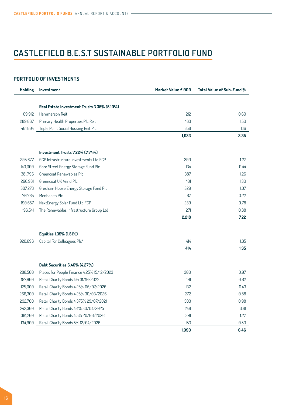# <span id="page-15-0"></span>**PORTFOLIO OF INVESTMENTS**

| <b>Holding</b> | <b>Investment</b>                           | Market Value £'000 | Total Value of Sub-Fund % |
|----------------|---------------------------------------------|--------------------|---------------------------|
|                |                                             |                    |                           |
|                | Real Estate Investment Trusts 3.35% (5.10%) |                    |                           |
| 69,912         | Hammerson Reit                              | 212                | 0.69                      |
| 289,867        | Primary Health Properties Plc Reit          | 463                | 1.50                      |
| 401,804        | Triple Point Social Housing Reit Plc        | 358                | 1.16                      |
|                |                                             | 1,033              | 3.35                      |
|                |                                             |                    |                           |
|                | Investment Trusts 7.22% (7.74%)             |                    |                           |
| 295,677        | GCP Infrastructure Investments Ltd FCP      | 390                | 1.27                      |
| 140,000        | Gore Street Energy Storage Fund Plc         | 134                | 0.44                      |
| 381,796        | Greencoat Renewables Plc                    | 387                | 1.26                      |
| 266.961        | Greencoat UK Wind Plc                       | 401                | 1.30                      |
| 307,273        | Gresham House Energy Storage Fund Plc       | 329                | 1.07                      |
| 70,765         | Menhaden Plc                                | 67                 | 0.22                      |
| 190,657        | NextEnergy Solar Fund Ltd FCP               | 239                | 0.78                      |
| 196,541        | The Renewables Infrastructure Group Ltd     | 271                | 0.88                      |
|                |                                             | 2,218              | 7.22                      |
|                |                                             |                    |                           |
|                | Equities 1.35% (1.51%)                      |                    |                           |
| 920,696        | Capital For Colleagues Plc*                 | 414                | 1.35                      |
|                |                                             | 414                | 1.35                      |
|                |                                             |                    |                           |
|                | Debt Securities 6.46% (4.27%)               |                    |                           |
| 288,500        | Places for People Finance 4.25% 15/12/2023  | 300                | 0.97                      |
| 187,900        | Retail Charity Bonds 4% 31/10/2027          | 191                | 0.62                      |
| 125,000        | Retail Charity Bonds 4.25% 06/07/2026       | 132                | 0.43                      |
| 266,300        | Retail Charity Bonds 4.25% 30/03/2026       | 272                | 0.88                      |
| 292,700        | Retail Charity Bonds 4.375% 29/07/2021      | 303                | 0.98                      |
| 242,300        | Retail Charity Bonds 4.4% 30/04/2025        | 248                | 0.81                      |
| 381,700        | Retail Charity Bonds 4.5% 20/06/2026        | 391                | 1.27                      |
| 134,900        | Retail Charity Bonds 5% 12/04/2026          | 153                | 0.50                      |
|                |                                             | 1,990              | 6.46                      |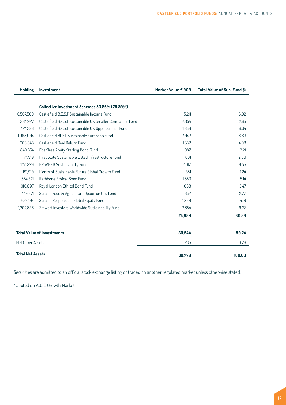| <b>Holding</b>          | <b>Investment</b>                                         | Market Value £'000 | Total Value of Sub-Fund % |
|-------------------------|-----------------------------------------------------------|--------------------|---------------------------|
|                         |                                                           |                    |                           |
|                         | Collective Investment Schemes 80.86% (79.89%)             |                    |                           |
| 6,567,500               | Castlefield B.E.S.T Sustainable Income Fund               | 5,211              | 16.92                     |
| 384,927                 | Castlefield B.E.S.T Sustainable UK Smaller Companies Fund | 2,354              | 7.65                      |
| 424.536                 | Castlefield B.E.S.T Sustainable UK Opportunities Fund     | 1,858              | 6.04                      |
| 1.968.904               | Castlefield BEST Sustainable European Fund                | 2.042              | 6.63                      |
| 608.348                 | Castlefield Real Return Fund                              | 1.532              | 4.98                      |
| 840.354                 | EdenTree Amity Sterling Bond Fund                         | 987                | 3.21                      |
| 74,919                  | First State Sustainable Listed Infrastructure Fund        | 861                | 2.80                      |
| 1,171,270               | FP WHEB Sustainability Fund                               | 2.017              | 6.55                      |
| 191.910                 | Liontrust Sustainable Future Global Growth Fund           | 381                | 1.24                      |
| 1.554.321               | Rathbone Ethical Bond Fund                                | 1.583              | 5.14                      |
| 910,097                 | Royal London Ethical Bond Fund                            | 1.068              | 3.47                      |
| 440,371                 | Sarasin Food & Agriculture Opportunities Fund             | 852                | 2.77                      |
| 622.104                 | Sarasin Responsible Global Equity Fund                    | 1.289              | 4.19                      |
| 1,394,826               | Stewart Investors Worldwide Sustainability Fund           | 2.854              | 9.27                      |
|                         |                                                           | 24,889             | 80.86                     |
|                         |                                                           |                    |                           |
|                         | <b>Total Value of Investments</b>                         | 30,544             | 99.24                     |
| Net Other Assets        |                                                           | 235                | 0.76                      |
| <b>Total Net Assets</b> |                                                           | 30,779             | 100.00                    |

Securities are admitted to an official stock exchange listing or traded on another regulated market unless otherwise stated.

\*Quoted on AQSE Growth Market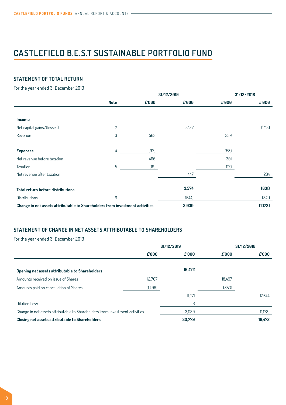# <span id="page-17-0"></span>**STATEMENT OF TOTAL RETURN**

For the year ended 31 December 2019

|                                                                              |                | 31/12/2019 |          |          |          |  | 31/12/2018 |
|------------------------------------------------------------------------------|----------------|------------|----------|----------|----------|--|------------|
|                                                                              | <b>Note</b>    | f000       | $f$ '000 | $f$ '000 | $f$ '000 |  |            |
|                                                                              |                |            |          |          |          |  |            |
| <b>Income</b>                                                                |                |            |          |          |          |  |            |
| Net capital gains/(losses)                                                   | $\overline{c}$ |            | 3,127    |          | (1, 115) |  |            |
| Revenue                                                                      | 3              | 563        |          | 359      |          |  |            |
|                                                                              |                |            |          |          |          |  |            |
| <b>Expenses</b>                                                              | 4              | (97)       |          | (58)     |          |  |            |
| Net revenue before taxation                                                  |                | 466        |          | 301      |          |  |            |
| Taxation                                                                     | 5              | (19)       |          | (17)     |          |  |            |
| Net revenue after taxation                                                   |                |            | 447      |          | 284      |  |            |
|                                                                              |                |            |          |          |          |  |            |
| Total return before distributions                                            |                |            | 3,574    |          | (831)    |  |            |
| Distributions                                                                | 6              |            | (544)    |          | (341)    |  |            |
| Change in net assets attributable to Shareholders from investment activities |                |            | 3,030    |          | (1,172)  |  |            |

# **STATEMENT OF CHANGE IN NET ASSETS ATTRIBUTABLE TO SHAREHOLDERS**

For the year ended 31 December 2019

|                                                                               | 31/12/2019 |                    | 31/12/2018 |         |
|-------------------------------------------------------------------------------|------------|--------------------|------------|---------|
|                                                                               | f000       | $f$ <sup>000</sup> | f'000      | £'000   |
|                                                                               |            |                    |            |         |
| Opening net assets attributable to Shareholders                               |            | 16.472             |            |         |
| Amounts received on issue of Shares                                           | 12.767     |                    | 18.497     |         |
| Amounts paid on cancellation of Shares                                        | (1,496)    |                    | (853)      |         |
|                                                                               |            | 11.271             |            | 17.644  |
| Dilution Levy                                                                 |            | 6                  |            |         |
| Change in net assets attributable to Shareholders' from investment activities |            | 3.030              |            | (1,172) |
| Closing net assets attributable to Shareholders                               |            | 30,779             |            | 16,472  |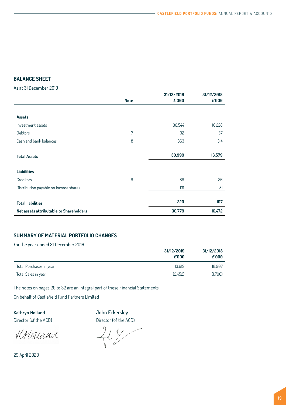# <span id="page-18-0"></span>**BALANCE SHEET**

As at 31 December 2019

|                                         | <b>Note</b>    | 31/12/2019<br>£'000 | 31/12/2018<br>£'000 |
|-----------------------------------------|----------------|---------------------|---------------------|
|                                         |                |                     |                     |
| Assets                                  |                |                     |                     |
| Investment assets                       |                | 30,544              | 16,228              |
| Debtors                                 | $\overline{7}$ | 92                  | 37                  |
| Cash and bank balances                  | 8              | 363                 | 314                 |
|                                         |                |                     |                     |
| <b>Total Assets</b>                     |                | 30,999              | 16,579              |
|                                         |                |                     |                     |
| <b>Liabilities</b>                      |                |                     |                     |
| Creditors                               | 9              | 89                  | 26                  |
| Distribution payable on income shares   |                | 131                 | 81                  |
|                                         |                |                     |                     |
| <b>Total liabilities</b>                |                | 220                 | 107                 |
| Net assets attributable to Shareholders |                | 30,779              | 16,472              |

# **SUMMARY OF MATERIAL PORTFOLIO CHANGES**

# For the year ended 31 December 2019

|                         | 31/12/2019<br>$f$ '000 | 31/12/2018<br>f000 |
|-------------------------|------------------------|--------------------|
| Total Purchases in year | 13.619                 | 18.907             |
| Total Sales in year     | (2.452)                | (1.700)            |

The notes on [pages 20](#page-19-0) to 32 are an integral part of these Financial Statements.

On behalf of Castlefield Fund Partners Limited

**Kathryn Holland** John Eckersley

Director (of the ACD) Director (of the ACD)

KHolland

 $4/$ 

29 April 2020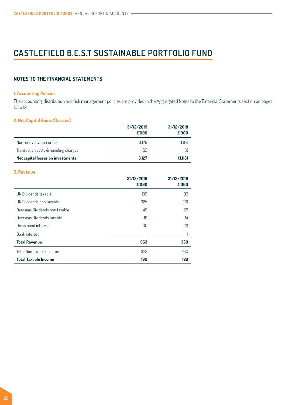# <span id="page-19-0"></span>**NOTES TO THE FINANCIAL STATEMENTS**

#### **1. Accounting Policies**

The accounting, distribution and risk management policies are provided in the Aggregated Notes to the Financial Statements section on [pages](#page-8-0)  10 to [12](#page-11-0).

# **2. Net Capital Gains/(Losses)**

|                                      | 31/12/2019<br>$f$ '000 | 31/12/2018<br>£'000 |
|--------------------------------------|------------------------|---------------------|
| Non-derivative securities            | 3.129                  | (1.114)             |
| Transaction costs & handling charges | [2]                    |                     |
| Net capital losses on investments    | 3.127                  | (1.115)             |

#### **3. Revenue**

|                                | 31/12/2019<br>£'000 | 31/12/2018<br>£'000 |
|--------------------------------|---------------------|---------------------|
| UK Dividends taxable           | 139                 | 93                  |
| UK Dividends non taxable       | 325                 | 201                 |
| Overseas Dividends non taxable | 49                  | 29                  |
| Overseas Dividends taxable     | 19                  | 14                  |
| Gross bond interest            | 30                  | 21                  |
| <b>Bank interest</b>           |                     |                     |
| <b>Total Revenue</b>           | 563                 | 359                 |
| Total Non Taxable Income       | 373                 | 230                 |
| <b>Total Taxable Income</b>    | 190                 | 129                 |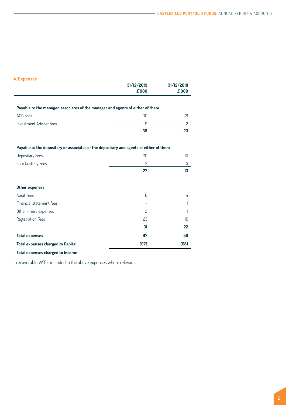# **4. Expenses**

|                                                                                        | 31/12/2019<br>£'000 | 31/12/2018<br>£'000 |
|----------------------------------------------------------------------------------------|---------------------|---------------------|
|                                                                                        |                     |                     |
| Payable to the manager, associates of the manager and agents of either of them         |                     |                     |
| <b>ACD</b> Fees                                                                        | 30                  | 21                  |
| Investment Adviser fees                                                                | 9                   | $\overline{c}$      |
|                                                                                        | 39                  | 23                  |
| Payable to the depositary or associates of the depositary and agents of either of them |                     |                     |
| Depositary Fees                                                                        | 20                  | 10                  |
| Safe Custody Fees                                                                      | 7                   | 3                   |
|                                                                                        | 27                  | 13                  |
| Other expenses                                                                         |                     |                     |
| Audit Fees                                                                             | 6                   | 4                   |
| Financial statement fees                                                               |                     |                     |
| Other - misc expenses                                                                  | $\overline{c}$      |                     |
| Registration Fees                                                                      | 23                  | 16                  |
|                                                                                        | 31                  | 22                  |
| <b>Total expenses</b>                                                                  | 97                  | 58                  |
| <b>Total expenses charged to Capital</b>                                               | (97)                | (58)                |
| Total expenses charged to Income                                                       |                     |                     |

Irrecoverable VAT is included in the above expenses where relevant.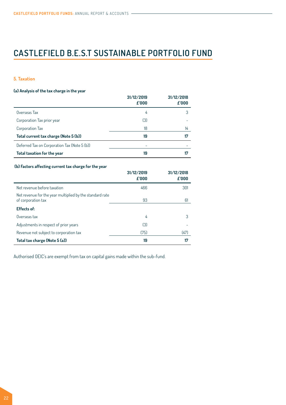### **5. Taxation**

#### **(a) Analysis of the tax charge in the year**

|                                              | 31/12/2019<br>£'000 | 31/12/2018<br>£'000 |
|----------------------------------------------|---------------------|---------------------|
| Overseas Tax                                 | 4                   | 3                   |
| Corporation Tax prior year                   | (3)                 |                     |
| Corporation Tax                              | 18                  | 14                  |
| Total current tax charge (Note 5 (b))        | 19                  | 17                  |
| Deferred Tax on Corporation Tax (Note 5 (b)) |                     |                     |
| Total taxation for the year                  | 19                  |                     |

### **(b) Factors affecting current tax charge for the year**

|                                                                                | 31/12/2019<br>$f$ '000 | 31/12/2018<br>£'000 |
|--------------------------------------------------------------------------------|------------------------|---------------------|
| Net revenue before taxation                                                    | 466                    | 301                 |
| Net revenue for the year multiplied by the standard rate<br>of corporation tax | 93                     | 61                  |
| <b>Effects of:</b>                                                             |                        |                     |
| Overseas tax                                                                   | 4                      | 3                   |
| Adjustments in respect of prior years                                          | (3)                    |                     |
| Revenue not subject to corporation tax                                         | (75)                   | (47)                |
| Total tax charge (Note 5 (a))                                                  | 19                     | 17                  |

Authorised OEIC's are exempt from tax on capital gains made within the sub-fund.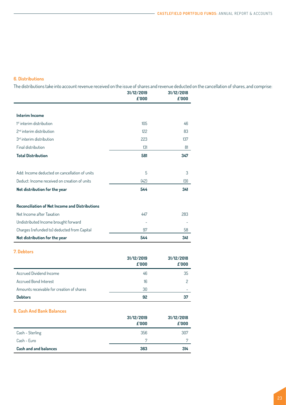# **6. Distributions**

The distributions take into account revenue received on the issue of shares and revenue deducted on the cancellation of shares, and comprise:

|                                                       | 31/12/2019<br>£'000 | 31/12/2018<br>£'000 |
|-------------------------------------------------------|---------------------|---------------------|
|                                                       |                     |                     |
| <b>Interim Income</b>                                 |                     |                     |
| <sup>1st</sup> interim distribution                   | 105                 | 46                  |
| 2 <sup>nd</sup> interim distribution                  | 122                 | 83                  |
| 3 <sup>rd</sup> interim distribution                  | 223                 | 137                 |
| Final distribution                                    | 131                 | 81                  |
| <b>Total Distribution</b>                             | 581                 | 347                 |
| Add: Income deducted on cancellation of units         | 5                   | 3                   |
| Deduct: Income received on creation of units          | (42)                | (9)                 |
| Net distribution for the year                         | 544                 | 341                 |
| <b>Reconciliation of Net Income and Distributions</b> |                     |                     |
| Net Income after Taxation                             | 447                 | 283                 |
| Undistributed Income brought forward                  |                     |                     |
| Charges (refunded to) deducted from Capital           | 97                  | 58                  |
| Net distribution for the year                         | 544                 | 341                 |

# **7. Debtors**

|                                           | 31/12/2019<br>$f$ '000 | 31/12/2018<br>$f$ 000 |
|-------------------------------------------|------------------------|-----------------------|
| Accrued Dividend Income                   | 46                     | 35                    |
| <b>Accrued Bond Interest</b>              | 16                     |                       |
| Amounts receivable for creation of shares | 30                     |                       |
| <b>Debtors</b>                            | 92                     | 37                    |

#### **8. Cash And Bank Balances**

|                              | 31/12/2019<br>£'000 | 31/12/2018<br>£'000 |
|------------------------------|---------------------|---------------------|
| Cash - Sterling              | 356                 | 307                 |
| Cash - Euro                  | 7                   | 7                   |
| <b>Cash and and balances</b> | 363                 | 314                 |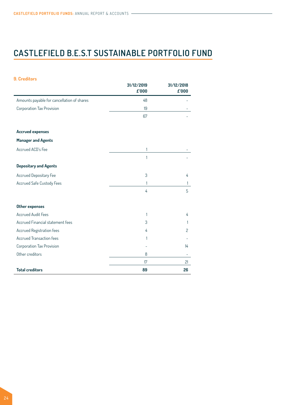| <b>9. Creditors</b>                        |                     |                     |
|--------------------------------------------|---------------------|---------------------|
|                                            | 31/12/2019<br>£'000 | 31/12/2018<br>£'000 |
| Amounts payable for cancellation of shares | 48                  |                     |
| Corporation Tax Provision                  | 19                  |                     |
|                                            | 67                  |                     |
| <b>Accrued expenses</b>                    |                     |                     |
| <b>Manager and Agents</b>                  |                     |                     |
| Accrued ACD's Fee                          | 1                   |                     |
|                                            | 1                   |                     |
| <b>Depositary and Agents</b>               |                     |                     |
| <b>Accrued Depositary Fee</b>              | 3                   | 4                   |
| Accrued Safe Custody Fees                  | 1                   | 1                   |
|                                            | 4                   | 5                   |
| <b>Other expenses</b>                      |                     |                     |
| <b>Accrued Audit Fees</b>                  | 1                   | 4                   |
| Accrued Financial statement fees           | 3                   |                     |
| <b>Accrued Registration fees</b>           | 4                   | 2                   |
| <b>Accrued Transaction fees</b>            | 1                   |                     |
| Corporation Tax Provision                  |                     | 14                  |
| Other creditors                            | 8                   |                     |
|                                            | 17                  | 21                  |
| <b>Total creditors</b>                     | 89                  | 26                  |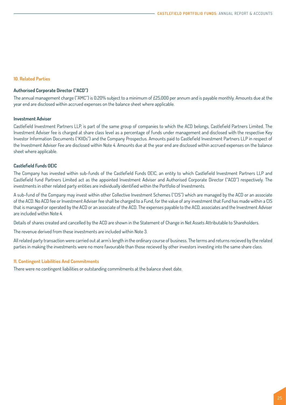#### **10. Related Parties**

### **Authorised Corporate Director ("ACD")**

The annual management charge ("AMC") is 0.20% subject to a minimum of £25,000 per annum and is payable monthly. Amounts due at the year end are disclosed within accrued expenses on the balance sheet where applicable.

#### **Investment Adviser**

Castlefield Investment Partners LLP, is part of the same group of companies to which the ACD belongs, Castlefield Partners Limited. The Investment Adviser fee is charged at share class level as a percentage of funds under management and disclosed with the respective Key Investor Information Documents ("KIIDs") and the Company Prospectus. Amounts paid to Castlefield Investment Partners LLP in respect of the Investment Adviser Fee are disclosed within Note 4. Amounts due at the year end are disclosed within accrued expenses on the balance sheet where applicable.

#### **Castlefield Funds OEIC**

The Company has invested within sub-funds of the Castlefield Funds OEIC, an entity to which Castlefield Investment Partners LLP and Castlefield fund Partners Limited act as the appointed Investment Adviser and Authorised Corporate Director ("ACD") respectively. The investments in other related party entities are individually identified within the Portfolio of Investments.

A sub-fund of the Company may invest within other Collective Investment Schemes ("CIS") which are managed by the ACD or an associate of the ACD. No ACD fee or Investment Adviser fee shall be charged to a Fund, for the value of any investment that Fund has made within a CIS that is managed or operated by the ACD or an associate of the ACD. The expenses payable to the ACD, associates and the Investment Adviser are included within Note 4.

Details of shares created and cancelled by the ACD are shown in the Statement of Change in Net Assets Attributable to Shareholders.

The revenue derived from these investments are included within Note 3.

All related party transaction were carried out at arm's length in the ordinary course of business. The terms and returns recieved by the related parties in making the investments were no more favourable than those recieved by other investors investing into the same share class.

#### **11. Contingent Liabilities And Commitments**

There were no contingent liabilities or outstanding commitments at the balance sheet date.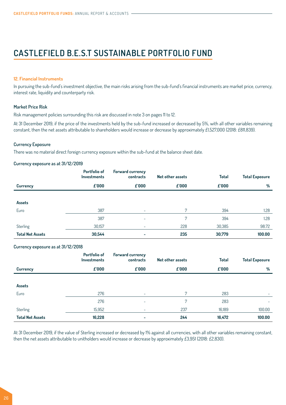#### **12. Financial Instruments**

In pursuing the sub-fund's investment objective, the main risks arising from the sub-fund's financial instruments are market price, currency, interest rate, liquidity and counterparty risk.

#### **Market Price Risk**

Risk management policies surrounding this risk are discussed in note 3 on [pages 1](#page-11-0)1 to [1](#page-12-0)2.

At 31 December 2019, if the price of the investments held by the sub-fund increased or decreased by 5%, with all other variables remaining constant, then the net assets attributable to shareholders would increase or decrease by approximately £1,527,000 (2018: £811,839).

#### **Currency Exposure**

There was no material direct foreign currency exposure within the sub-fund at the balance sheet date.

#### **Currency exposure as at 31/12/2019**

|                         | Portfolio of<br><b>Investments</b> | <b>Forward currency</b><br>contracts | Net other assets | <b>Total</b> | <b>Total Exposure</b> |
|-------------------------|------------------------------------|--------------------------------------|------------------|--------------|-----------------------|
| <b>Currency</b>         | $f$ '000                           | $f$ '000                             | $f$ '000         | $f$ '000     | %                     |
|                         |                                    |                                      |                  |              |                       |
| Assets                  |                                    |                                      |                  |              |                       |
| Euro                    | 387                                | ۰                                    | 7                | 394          | 1.28                  |
|                         | 387                                |                                      | 7                | 394          | 1.28                  |
| Sterling                | 30,157                             | ۰                                    | 228              | 30,385       | 98.72                 |
| <b>Total Net Assets</b> | 30,544                             |                                      | 235              | 30,779       | 100.00                |

#### **Currency exposure as at 31/12/2018**

|                         | Portfolio of<br><b>Investments</b> | Forward currency<br>contracts | Net other assets | <b>Total</b> | <b>Total Exposure</b> |
|-------------------------|------------------------------------|-------------------------------|------------------|--------------|-----------------------|
| <b>Currency</b>         | $f$ '000                           | $f$ '000                      | $f$ '000         | $f$ '000     | %                     |
|                         |                                    |                               |                  |              |                       |
| Assets                  |                                    |                               |                  |              |                       |
| Euro                    | 276                                | $\overline{\phantom{a}}$      | 7                | 283          |                       |
|                         | 276                                | ۰                             | 7                | 283          | -                     |
| Sterling                | 15,952                             | -                             | 237              | 16,189       | 100.00                |
| <b>Total Net Assets</b> | 16,228                             | $\overline{\phantom{0}}$      | 244              | 16,472       | 100.00                |

At 31 December 2019, if the value of Sterling increased or decreased by 1% against all currencies, with all other variables remaining constant, then the net assets attributable to unitholders would increase or decrease by approximately £3,951 (2018: £2,830).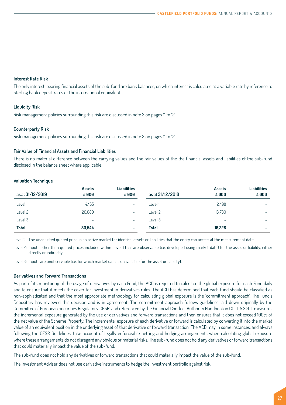#### **Interest Rate Risk**

The only interest-bearing financial assets of the sub-fund are bank balances, on which interest is calculated at a variable rate by reference to Sterling bank deposit rates or the international equivalent.

### **Liquidity Risk**

Risk management policies surrounding this risk are discussed in note 3 on [pages 1](#page-11-0)1 to [1](#page-12-0)2.

### **Counterparty Risk**

Risk management policies surrounding this risk are discussed in note 3 on [pages 1](#page-11-0)1 to [1](#page-12-0)2.

#### **Fair Value of Financial Assets and Financial Liabilities**

There is no material difference between the carrying values and the fair values of the the financial assets and liabilities of the sub-fund disclosed in the balance sheet where applicable.

#### **Valuation Technique**

| as at 31/12/2019 | <b>Assets</b><br>£'000 | <b>Liabilities</b><br>£'000 | as at 31/12/2018 | <b>Assets</b><br>£'000   | <b>Liabilities</b><br>$f$ '000 |
|------------------|------------------------|-----------------------------|------------------|--------------------------|--------------------------------|
| Level 1          | 4.455                  | -                           | Level 1          | 2.498                    |                                |
| Level 2          | 26.089                 | -                           | Level 2          | 13.730                   | ۰                              |
| Level 3          | ۰                      | ۰                           | Level 3          | $\overline{\phantom{a}}$ | $\overline{\phantom{a}}$       |
| Total            | 30.544                 | -                           | Total            | 16,228                   | $\overline{\phantom{0}}$       |

Level 1: The unadjusted quoted price in an active market for identical assets or liabilities that the entity can access at the measurement date.

Level 2: Inputs other than quoted prices included within Level 1 that are observable (i.e. developed using market data) for the asset or liability, either directly or indirectly.

Level 3: Inputs are unobservable (i.e. for which market data is unavailable for the asset or liability).

#### **Derivatives and Forward Transactions**

As part of its monitoring of the usage of derivatives by each Fund, the ACD is required to calculate the global exposure for each Fund daily and to ensure that it meets the cover for investment in derivatives rules. The ACD has determined that each fund should be classified as non-sophisticated and that the most appropriate methodology for calculating global exposure is the 'commitment approach'. The Fund's Depositary has reviewed this decision and is in agreement. The commitment approach follows guidelines laid down originally by the Committee of European Securities Regulators 'CESR' and referenced by the Financial Conduct Authority Handbook in COLL 5.3.9. It measures the incremental exposure generated by the use of derivatives and forward transactions and then ensures that it does not exceed 100% of the net value of the Scheme Property. The incremental exposure of each derivative or forward is calculated by converting it into the market value of an equivalent position in the underlying asset of that derivative or forward transaction. The ACD may in some instances, and always following the CESR Guidelines, take account of legally enforceable netting and hedging arrangements when calculating global exposure where these arrangements do not disregard any obvious or material risks. The sub-fund does not hold any derivatives or forward transactions that could materially impact the value of the sub-fund.

The sub-fund does not hold any derivatives or forward transactions that could materially impact the value of the sub-fund.

The Investment Adviser does not use derivative instruments to hedge the investment portfolio against risk.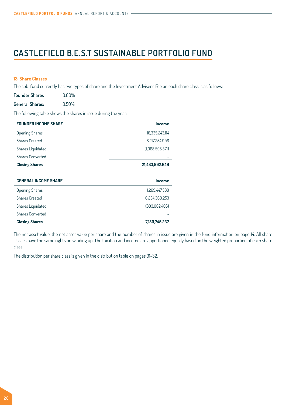#### **13. Share Classes**

The sub-fund currently has two types of share and the Investment Adviser's Fee on each share class is as follows:

| <b>Founder Shares</b>  | $0.00\%$ |
|------------------------|----------|
| <b>General Shares:</b> | 0.50%    |

The following table shows the shares in issue during the year:

| <b>FOUNDER INCOME SHARE</b> | <b>Income</b>   |
|-----------------------------|-----------------|
| <b>Opening Shares</b>       | 16,335,243.114  |
| Shares Created              | 6,217,254.906   |
| Shares Liquidated           | (1,068,595.371) |
| <b>Shares Converted</b>     |                 |
| <b>Closing Shares</b>       | 21,483,902.649  |
|                             |                 |
| <b>GENERAL INCOME SHARE</b> | Income          |
| <b>Opening Shares</b>       | 1.269.447.389   |
| <b>Shares Created</b>       | 6.254.360.253   |
| Shares Liquidated           | (393,062.405)   |
| <b>Shares Converted</b>     |                 |

**Closing Shares 7,130,745.237**

The net asset value, the net asset value per share and the number of shares in issue are given in the fund information on [page 14](#page-13-0). All share classes have the same rights on winding up. The taxation and income are apportioned equally based on the weighted proportion of each share class.

The distribution per share class is given in the distribution table on pages 31-32.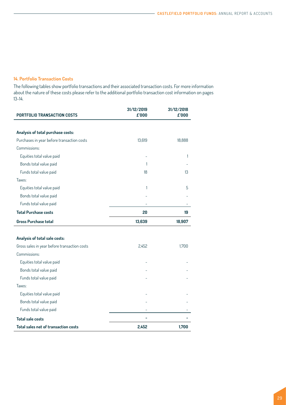# **14. Portfolio Transaction Costs**

The following tables show portfolio transactions and their associated transaction costs. For more information about the nature of these costs please refer to the additional portfolio transaction cost information on [pages](#page-13-0) 13-14.

| <b>PORTFOLIO TRANSACTION COSTS</b>           | 31/12/2019<br>£'000 | 31/12/2018<br>£'000 |
|----------------------------------------------|---------------------|---------------------|
|                                              |                     |                     |
| Analysis of total purchase costs:            |                     |                     |
| Purchases in year before transaction costs   | 13,619              | 18,888              |
| Commissions:                                 |                     |                     |
| Equities total value paid                    |                     | 1                   |
| Bonds total value paid                       | 1                   |                     |
| Funds total value paid                       | 18                  | 13                  |
| Taxes:                                       |                     |                     |
| Equities total value paid                    | 1                   | 5                   |
| Bonds total value paid                       |                     |                     |
| Funds total value paid                       |                     |                     |
| <b>Total Purchase costs</b>                  | 20                  | 19                  |
| <b>Gross Purchase total</b>                  | 13,639              | 18,907              |
|                                              |                     |                     |
| Analysis of total sale costs:                |                     |                     |
| Gross sales in year before transaction costs | 2,452               | 1,700               |
| Commissions:                                 |                     |                     |
| Equities total value paid                    |                     |                     |
| Bonds total value paid                       |                     |                     |
| Funds total value paid                       |                     |                     |
| Taxes:                                       |                     |                     |
| Equities total value paid                    |                     |                     |
| Bonds total value paid                       |                     |                     |
| Funds total value paid                       |                     |                     |
| <b>Total sale costs</b>                      |                     |                     |
| Total sales net of transaction costs         | 2,452               | 1,700               |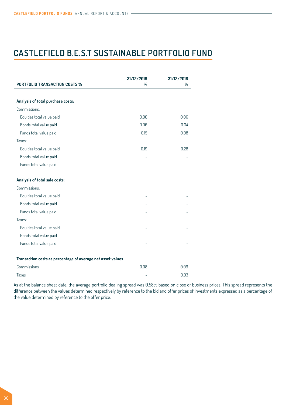| <b>PORTFOLIO TRANSACTION COSTS %</b>                        | 31/12/2019<br>% | 31/12/2018<br>% |
|-------------------------------------------------------------|-----------------|-----------------|
|                                                             |                 |                 |
| Analysis of total purchase costs:                           |                 |                 |
| Commissions:                                                |                 |                 |
| Equities total value paid                                   | 0.06            | 0.06            |
| Bonds total value paid                                      | 0.06            | 0.04            |
| Funds total value paid                                      | 0.15            | 0.08            |
| Taxes:                                                      |                 |                 |
| Equities total value paid                                   | 0.19            | 0.28            |
| Bonds total value paid                                      |                 |                 |
| Funds total value paid                                      |                 |                 |
| Analysis of total sale costs:                               |                 |                 |
| Commissions:                                                |                 |                 |
| Equities total value paid                                   |                 |                 |
| Bonds total value paid                                      |                 |                 |
| Funds total value paid                                      |                 |                 |
| Taxes:                                                      |                 |                 |
| Equities total value paid                                   |                 |                 |
| Bonds total value paid                                      |                 |                 |
| Funds total value paid                                      |                 |                 |
| Transaction costs as percentage of average net asset values |                 |                 |
| Commissions                                                 | 0.08            | 0.09            |
| <b>Taxes</b>                                                |                 | 0.03            |

As at the balance sheet date, the average portfolio dealing spread was 0.58% based on close of business prices. This spread represents the difference between the values determined respectively by reference to the bid and offer prices of investments expressed as a percentage of the value determined by reference to the offer price.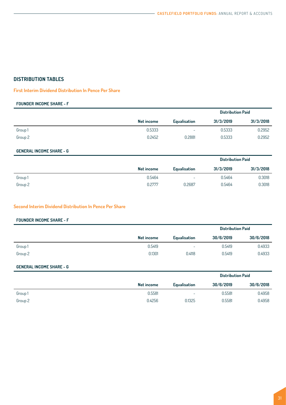# <span id="page-30-0"></span>**DISTRIBUTION TABLES**

### **First Interim Dividend Distribution In Pence Per Share**

### **FOUNDER INCOME SHARE - F**

|         |            |                     | <b>Distribution Paid</b> |           |
|---------|------------|---------------------|--------------------------|-----------|
|         | Net income | <b>Equalisation</b> | 31/3/2019                | 31/3/2018 |
| Group 1 | 0.5333     | ٠                   | 0.5333                   | 0.2952    |
| Group 2 | 0.2452     | 0.2881              | 0.5333                   | 0.2952    |
|         |            |                     |                          |           |

## **GENERAL INCOME SHARE - G**

|         |            | <b>Distribution Paid</b> |           |           |
|---------|------------|--------------------------|-----------|-----------|
|         | Net income | Equalisation             | 31/3/2019 | 31/3/2018 |
| Group 1 | 0.5464     | $\overline{\phantom{a}}$ | 0.5464    | 0.3018    |
| Group 2 | 0.2777     | 0.2687                   | 0.5464    | 0.3018    |

### **Second Interim Dividend Distribution In Pence Per Share**

#### **FOUNDER INCOME SHARE - F**

|         |            |                     |           | <b>Distribution Paid</b> |
|---------|------------|---------------------|-----------|--------------------------|
|         | Net income | <b>Equalisation</b> | 30/6/2019 | 30/6/2018                |
| Group 1 | 0.5419     | -                   | 0.5419    | 0.4933                   |
| Group 2 | 0.1301     | 0.4118              | 0.5419    | 0.4933                   |

### **GENERAL INCOME SHARE - G**

|         |            |                          |           | <b>Distribution Paid</b> |
|---------|------------|--------------------------|-----------|--------------------------|
|         | Net income | <b>Equalisation</b>      | 30/6/2019 | 30/6/2018                |
| Group 1 | 0.5581     | $\overline{\phantom{a}}$ | 0.5581    | 0.4958                   |
| Group 2 | 0.4256     | 0.1325                   | 0.5581    | 0.4958                   |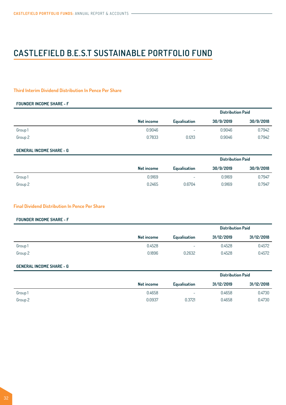### **Third Interim Dividend Distribution In Pence Per Share**

#### **FOUNDER INCOME SHARE - F**

|         |            |                          | <b>Distribution Paid</b> |           |
|---------|------------|--------------------------|--------------------------|-----------|
|         | Net income | <b>Equalisation</b>      | 30/9/2019                | 30/9/2018 |
| Group 1 | 0.9046     | $\overline{\phantom{a}}$ | 0.9046                   | 0.7942    |
| Group 2 | 0.7833     | 0.1213                   | 0.9046                   | 0.7942    |

### **GENERAL INCOME SHARE - G**

|         |            | <b>Distribution Paid</b> |           |           |
|---------|------------|--------------------------|-----------|-----------|
|         | Net income | <b>Equalisation</b>      | 30/9/2019 | 30/9/2018 |
| Group 1 | 0.9169     | -                        | 0.9169    | 0.7947    |
| Group 2 | 0.2465     | 0.6704                   | 0.9169    | 0.7947    |

#### **Final Dividend Distribution In Pence Per Share**

### **FOUNDER INCOME SHARE - F**

|         |            | <b>Distribution Paid</b> |            |            |
|---------|------------|--------------------------|------------|------------|
|         | Net income | <b>Equalisation</b>      | 31/12/2019 | 31/12/2018 |
| Group 1 | 0.4528     | ٠                        | 0.4528     | 0.4572     |
| Group 2 | 0.1896     | 0.2632                   | 0.4528     | 0.4572     |

#### **GENERAL INCOME SHARE - G**

|         |            |                     |            | <b>Distribution Paid</b> |  |
|---------|------------|---------------------|------------|--------------------------|--|
|         | Net income | <b>Equalisation</b> | 31/12/2019 | 31/12/2018               |  |
| Group 1 | 0.4658     | -                   | 0.4658     | 0.4730                   |  |
| Group 2 | 0.0937     | 0.3721              | 0.4658     | 0.4730                   |  |